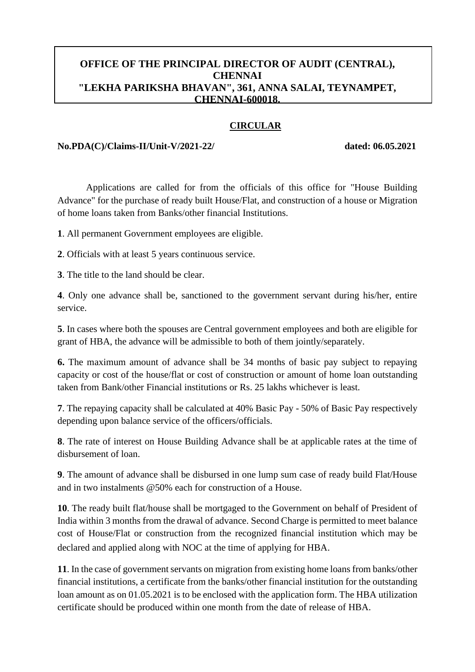## **OFFICE OF THE PRINCIPAL DIRECTOR OF AUDIT (CENTRAL), CHENNAI "LEKHA PARIKSHA BHAVAN", 361, ANNA SALAI, TEYNAMPET, CHENNAI-600018.**

### **CIRCULAR**

#### **No.PDA(C)/Claims-II/Unit-V/2021-22/ dated: 06.05.2021**

Applications are called for from the officials of this office for "House Building Advance" for the purchase of ready built House/Flat, and construction of a house or Migration of home loans taken from Banks/other financial Institutions.

**1**. All permanent Government employees are eligible.

**2**. Officials with at least 5 years continuous service.

**3**. The title to the land should be clear.

**4**. Only one advance shall be, sanctioned to the government servant during his/her, entire service.

**5**. In cases where both the spouses are Central government employees and both are eligible for grant of HBA, the advance will be admissible to both of them jointly/separately.

**6.** The maximum amount of advance shall be 34 months of basic pay subject to repaying capacity or cost of the house/flat or cost of construction or amount of home loan outstanding taken from Bank/other Financial institutions or Rs. 25 lakhs whichever is least.

**7**. The repaying capacity shall be calculated at 40% Basic Pay - 50% of Basic Pay respectively depending upon balance service of the officers/officials.

**8**. The rate of interest on House Building Advance shall be at applicable rates at the time of disbursement of loan.

**9**. The amount of advance shall be disbursed in one lump sum case of ready build Flat/House and in two instalments @50% each for construction of a House.

**10**. The ready built flat/house shall be mortgaged to the Government on behalf of President of India within 3 months from the drawal of advance. Second Charge is permitted to meet balance cost of House/Flat or construction from the recognized financial institution which may be declared and applied along with NOC at the time of applying for HBA.

**11**. In the case of government servants on migration from existing home loans from banks/other financial institutions, a certificate from the banks/other financial institution for the outstanding loan amount as on 01.05.2021 is to be enclosed with the application form. The HBA utilization certificate should be produced within one month from the date of release of HBA.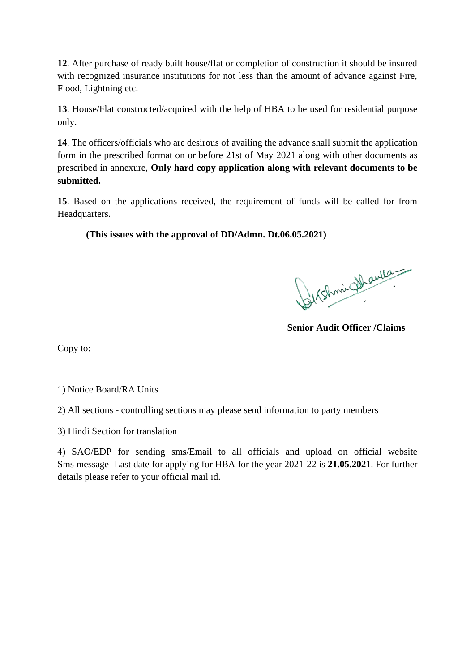**12**. After purchase of ready built house/flat or completion of construction it should be insured with recognized insurance institutions for not less than the amount of advance against Fire, Flood, Lightning etc.

**13**. House/Flat constructed/acquired with the help of HBA to be used for residential purpose only.

**14**. The officers/officials who are desirous of availing the advance shall submit the application form in the prescribed format on or before 21st of May 2021 along with other documents as prescribed in annexure, **Only hard copy application along with relevant documents to be submitted.** 

**15**. Based on the applications received, the requirement of funds will be called for from Headquarters.

**(This issues with the approval of DD/Admn. Dt.06.05.2021)**

Birshmin Shauley

**Senior Audit Officer /Claims**

Copy to:

1) Notice Board/RA Units

2) All sections - controlling sections may please send information to party members

3) Hindi Section for translation

4) SAO/EDP for sending sms/Email to all officials and upload on official website Sms message- Last date for applying for HBA for the year 2021-22 is **21.05.2021**. For further details please refer to your official mail id.